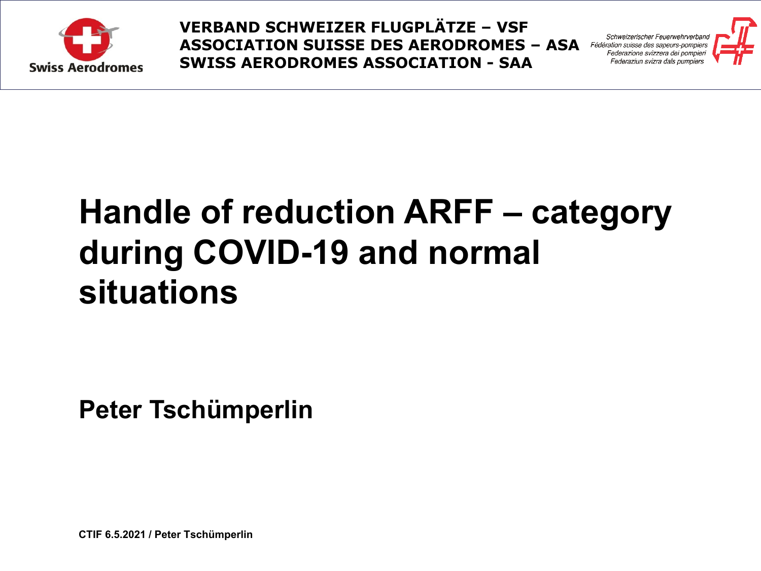

Schweizerischer Feuerwehrverban Fédération suisse des sapeurs-pompier



## **Handle of reduction ARFF – category during COVID-19 and normal situations**

**Peter Tschümperlin**

**CTIF 6.5.2021 / Peter Tschümperlin**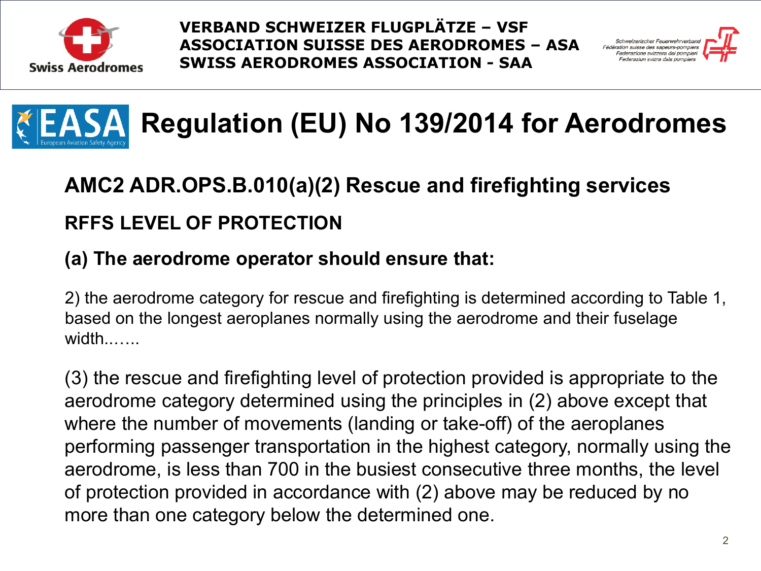



# **Regulation (EU) No 139/2014 for Aerodromes**

## **AMC2 ADR.OPS.B.010(a)(2) Rescue and firefighting services RFFS LEVEL OF PROTECTION**

#### **(a) The aerodrome operator should ensure that:**

2) the aerodrome category for rescue and firefighting is determined according to Table 1, based on the longest aeroplanes normally using the aerodrome and their fuselage width.......

(3) the rescue and firefighting level of protection provided is appropriate to the aerodrome category determined using the principles in (2) above except that where the number of movements (landing or take-off) of the aeroplanes performing passenger transportation in the highest category, normally using the aerodrome, is less than 700 in the busiest consecutive three months, the level of protection provided in accordance with (2) above may be reduced by no more than one category below the determined one.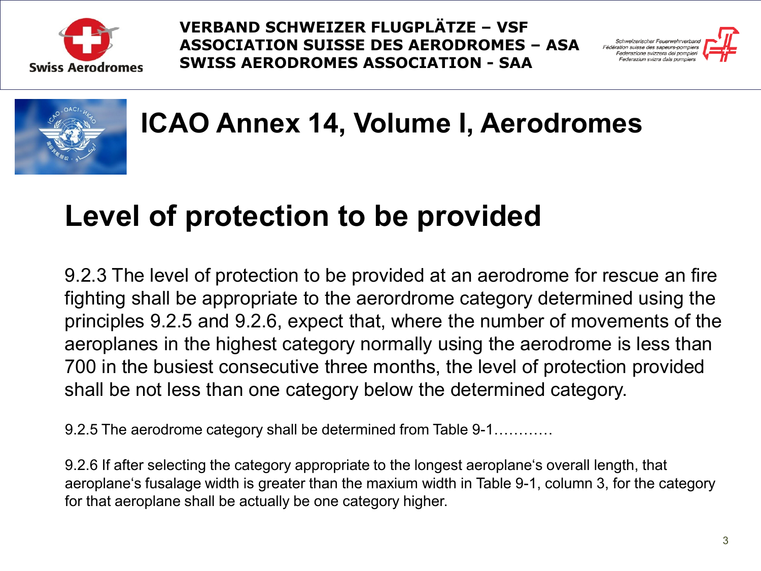





**ICAO Annex 14, Volume I, Aerodromes**

## **Level of protection to be provided**

9.2.3 The level of protection to be provided at an aerodrome for rescue an fire fighting shall be appropriate to the aerordrome category determined using the principles 9.2.5 and 9.2.6, expect that, where the number of movements of the aeroplanes in the highest category normally using the aerodrome is less than 700 in the busiest consecutive three months, the level of protection provided shall be not less than one category below the determined category.

9.2.5 The aerodrome category shall be determined from Table 9-1…………

9.2.6 If after selecting the category appropriate to the longest aeroplane's overall length, that aeroplane's fusalage width is greater than the maxium width in Table 9-1, column 3, for the category for that aeroplane shall be actually be one category higher.